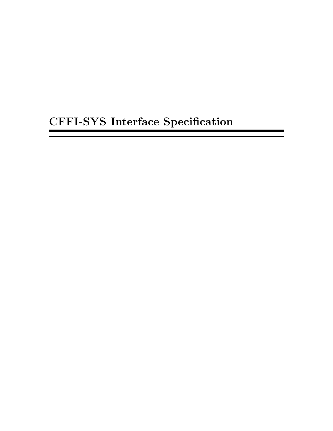# CFFI-SYS Interface Specification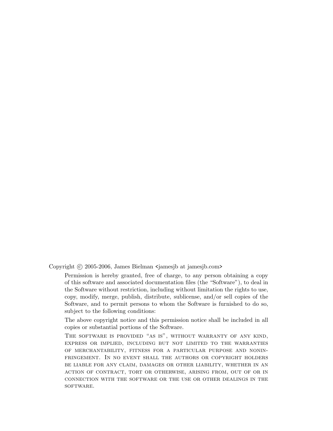Copyright © 2005-2006, James Bielman <jamesjb at jamesjb.com>

Permission is hereby granted, free of charge, to any person obtaining a copy of this software and associated documentation files (the "Software"), to deal in the Software without restriction, including without limitation the rights to use, copy, modify, merge, publish, distribute, sublicense, and/or sell copies of the Software, and to permit persons to whom the Software is furnished to do so, subject to the following conditions:

The above copyright notice and this permission notice shall be included in all copies or substantial portions of the Software.

The software is provided "as is", without warranty of any kind, express or implied, including but not limited to the warranties of merchantability, fitness for a particular purpose and noninfringement. In no event shall the authors or copyright holders be liable for any claim, damages or other liability, whether in an action of contract, tort or otherwise, arising from, out of or in connection with the software or the use or other dealings in the SOFTWARE.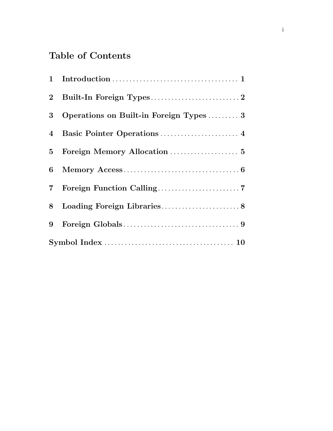# Table of Contents

| 3 <sup>1</sup> | Operations on Built-in Foreign Types  3 |
|----------------|-----------------------------------------|
|                |                                         |
|                |                                         |
| 6              |                                         |
| $\overline{7}$ |                                         |
| 8              |                                         |
| 9              |                                         |
|                |                                         |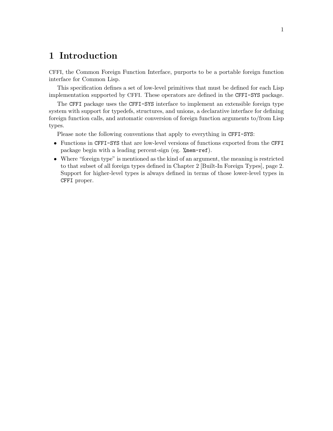#### <span id="page-3-0"></span>1 Introduction

CFFI, the Common Foreign Function Interface, purports to be a portable foreign function interface for Common Lisp.

This specification defines a set of low-level primitives that must be defined for each Lisp implementation supported by CFFI. These operators are defined in the CFFI-SYS package.

The CFFI package uses the CFFI-SYS interface to implement an extensible foreign type system with support for typedefs, structures, and unions, a declarative interface for defining foreign function calls, and automatic conversion of foreign function arguments to/from Lisp types.

Please note the following conventions that apply to everything in CFFI-SYS:

- Functions in CFFI-SYS that are low-level versions of functions exported from the CFFI package begin with a leading percent-sign (eg. %mem-ref).
- Where "foreign type" is mentioned as the kind of an argument, the meaning is restricted to that subset of all foreign types defined in [Chapter 2 \[Built-In Foreign Types\], page 2.](#page-4-0) Support for higher-level types is always defined in terms of those lower-level types in CFFI proper.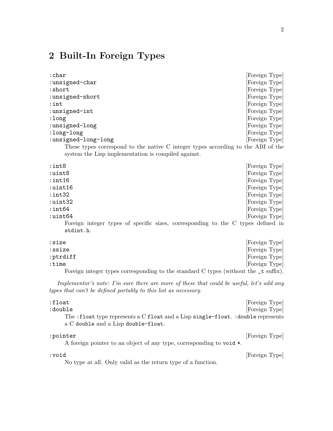#### <span id="page-4-0"></span>2 Built-In Foreign Types

| : char                                                                                   | [Foreign Type] |  |
|------------------------------------------------------------------------------------------|----------------|--|
| :unsigned-char                                                                           | [Foreign Type] |  |
| :short                                                                                   | [Foreign Type] |  |
| :unsigned-short                                                                          | [Foreign Type] |  |
| $:$ int                                                                                  | [Foreign Type] |  |
| :unsigned-int                                                                            | [Foreign Type] |  |
| :long                                                                                    | [Foreign Type] |  |
| :unsigned-long                                                                           | [Foreign Type] |  |
| :long-long                                                                               | [Foreign Type] |  |
| :unsigned-long-long                                                                      | [Foreign Type] |  |
| These types correspond to the native $\alpha$ integer types associates to the ABI of the |                |  |

These types correspond to the native C integer types according to the ABI of the system the Lisp implementation is compiled against.

| $:$ int $8$                                                                      | [Foreign Type] |
|----------------------------------------------------------------------------------|----------------|
| :uint8                                                                           | [Foreign Type] |
| $:$ int $16$                                                                     | [Foreign Type] |
| $:$ uint $16$                                                                    | [Foreign Type] |
| $:$ int $32$                                                                     | [Foreign Type] |
| :uint32                                                                          | [Foreign Type] |
| $:$ int $64$                                                                     | [Foreign Type] |
| $:$ uint $64$                                                                    | [Foreign Type] |
| Foreign integer types of specific sizes, corresponding to the C types defined in |                |
| stdint.h.                                                                        |                |

: size [Foreign Type] : ssize [Foreign Type] : ptrdiff [Foreign Type] : time [Foreign Type] Foreign integer types corresponding to the standard C types (without the  $\pm$  suffix).

Implementor's note: I'm sure there are more of these that could be useful, let's add any types that can't be defined portably to this list as necessary.

| :float                                                                                                                  | [Foreign Type] |
|-------------------------------------------------------------------------------------------------------------------------|----------------|
| :double                                                                                                                 | [Foreign Type] |
| The :float type represents a C float and a Lisp single-float. :double represents<br>a C double and a Lisp double-float. |                |
| :pointer                                                                                                                | [Foreign Type] |

A foreign pointer to an object of any type, corresponding to void \*.

:void [Foreign Type]

No type at all. Only valid as the return type of a function.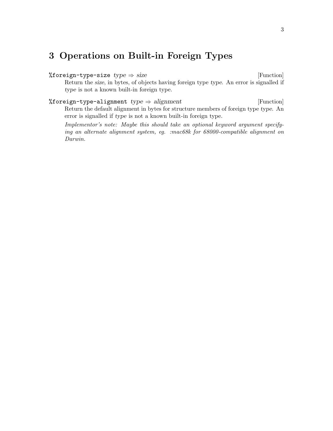#### <span id="page-5-0"></span>3 Operations on Built-in Foreign Types

%foreign-type-size  $type \Rightarrow size$  [Function] Return the size, in bytes, of objects having foreign type type. An error is signalled if type is not a known built-in foreign type.

%foreign-type-alignment  $type \Rightarrow alignment$  [Function] Return the default alignment in bytes for structure members of foreign type type. An error is signalled if type is not a known built-in foreign type.

Implementor's note: Maybe this should take an optional keyword argument specifying an alternate alignment system, eg. :mac68k for 68000-compatible alignment on Darwin.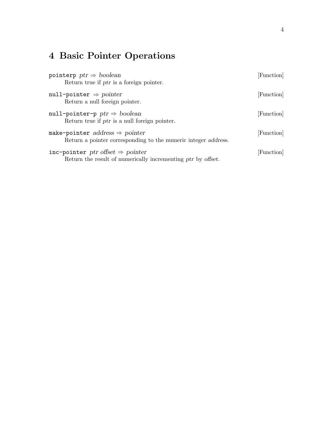# <span id="page-6-0"></span>4 Basic Pointer Operations

| pointerp $ptr \Rightarrow boolean$<br>Return true if ptr is a foreign pointer.                               | [Function] |
|--------------------------------------------------------------------------------------------------------------|------------|
| null-pointer $\Rightarrow$ pointer<br>Return a null foreign pointer.                                         | [Function] |
| null-pointer-p $ptr \Rightarrow boolean$<br>Return true if ptr is a null foreign pointer.                    | [Function] |
| make-pointer address $\Rightarrow$ pointer<br>Return a pointer corresponding to the numeric integer address. | [Function] |
| inc-pointer ptr offset $\Rightarrow$ pointer<br>Return the result of numerically incrementing ptr by offset. | [Function] |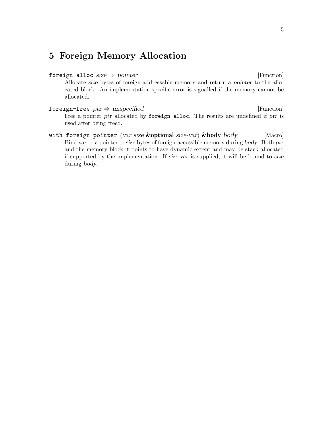#### <span id="page-7-0"></span>5 Foreign Memory Allocation

- foreign-alloc size  $\Rightarrow$  pointer [Function] Allocate size bytes of foreign-addressable memory and return a pointer to the allocated block. An implementation-specific error is signalled if the memory cannot be allocated.
- foreign-free  $ptr \Rightarrow$  unspecified [Function] Free a pointer ptr allocated by foreign-alloc. The results are undefined if ptr is used after being freed.
- with-foreign-pointer (var size &optional size-var) &body body [Macro] Bind var to a pointer to size bytes of foreign-accessible memory during body. Both ptr and the memory block it points to have dynamic extent and may be stack allocated if supported by the implementation. If size-var is supplied, it will be bound to size during body.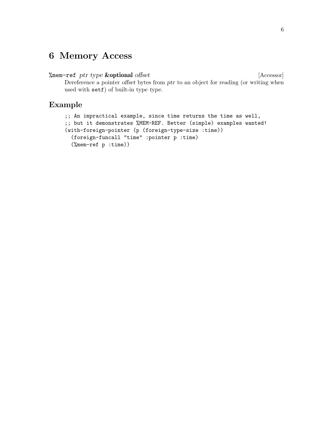#### <span id="page-8-0"></span>6 Memory Access

#### %mem-ref ptr type  $&$ optional offset [Accessor]

Dereference a pointer offset bytes from ptr to an object for reading (or writing when used with setf) of built-in type type.

#### Example

```
;; An impractical example, since time returns the time as well,
;; but it demonstrates %MEM-REF. Better (simple) examples wanted!
(with-foreign-pointer (p (foreign-type-size :time))
 (foreign-funcall "time" :pointer p :time)
  (%mem-ref p :time))
```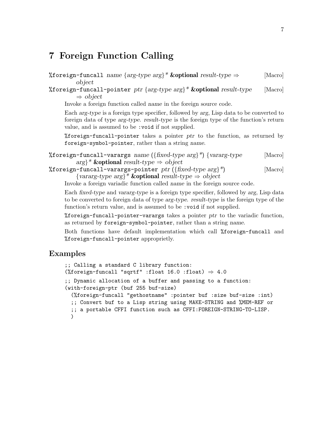#### <span id="page-9-0"></span>7 Foreign Function Calling

```
%foreign-funcall name {arg-type arg}* & coptional result-type \Rightarrow [Macro]
         object
```
%foreign-funcall-pointer ptr { $arg-type arg$ <sup>\*</sup> & **optional** result-type [Macro]  $\Rightarrow$  object

Invoke a foreign function called name in the foreign source code.

Each arg-type is a foreign type specifier, followed by arg, Lisp data to be converted to foreign data of type arg-type. result-type is the foreign type of the function's return value, and is assumed to be :void if not supplied.

%foreign-funcall-pointer takes a pointer ptr to the function, as returned by foreign-symbol-pointer, rather than a string name.

%foreign-funcall-varargs name ( $\{\text{fixed-type arg}\}^*$ )  $\{\text{vararg-type}$  [Macro]  $arg\}$ \* & **optional** result-type  $\Rightarrow$  object

%foreign-funcall-varargs-pointer  $ptr$  ({ $fixed-type~arg$ }\*) [Macro]  $\{vararg-type\ arg\}^*$  & subspectively  $\Rightarrow$  object

Invoke a foreign variadic function called name in the foreign source code.

Each fixed-type and vararg-type is a foreign type specifier, followed by arg, Lisp data to be converted to foreign data of type arg-type. result-type is the foreign type of the function's return value, and is assumed to be : void if not supplied.

 $%$ foreign-funcall-pointer-varargs takes a pointer ptr to the variadic function, as returned by foreign-symbol-pointer, rather than a string name.

Both functions have default implementation which call %foreign-funcall and %foreign-funcall-pointer approprietly.

#### Examples

```
;; Calling a standard C library function:
(%foreign-funcall "sqrtf" :float 16.0 :float) \Rightarrow 4.0
;; Dynamic allocation of a buffer and passing to a function:
(with-foreign-ptr (buf 255 buf-size)
  (%foreign-funcall "gethostname" :pointer buf :size buf-size :int)
  ;; Convert buf to a Lisp string using MAKE-STRING and %MEM-REF or
  ;; a portable CFFI function such as CFFI:FOREIGN-STRING-TO-LISP.
  )
```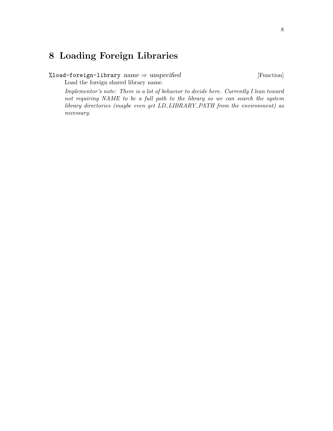## <span id="page-10-0"></span>8 Loading Foreign Libraries

%load-foreign-library  $name \Rightarrow unspecified$  [Function]

Load the foreign shared library name.

Implementor's note: There is a lot of behavior to decide here. Currently I lean toward not requiring NAME to be a full path to the library so we can search the system library directories (maybe even get LD\_LIBRARY\_PATH from the environment) as necessary.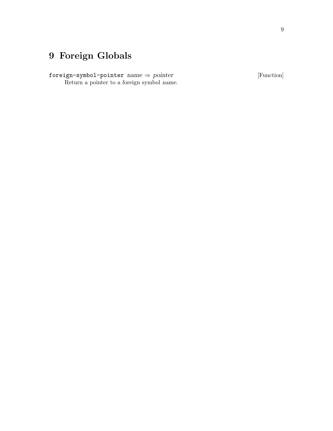# <span id="page-11-0"></span>9 Foreign Globals

foreign-symbol-pointer  $name \Rightarrow pointer$  [Function] Return a pointer to a foreign symbol name.